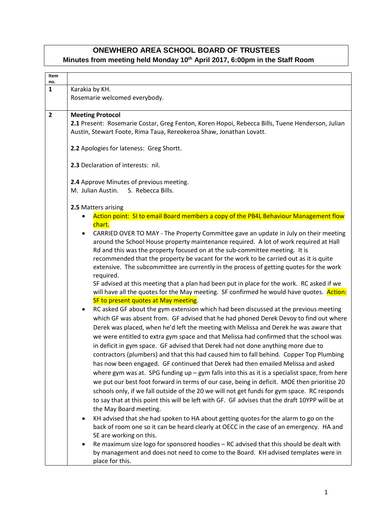## **ONEWHERO AREA SCHOOL BOARD OF TRUSTEES Minutes from meeting held Monday 10th April 2017, 6:00pm in the Staff Room**

| no.          |                                                                                                                                                                                                                                                                                                                                                                                                                                                                                                                                                                                                                                                                                                                                                                                                                                                                                                                                                                                                                                                                                                                                                                                                                                                                                                                                                                                                                                                                                                                                                                                                                                                                                                                                                                                                                                                                                                                                                                                                                                                                                                                                                                                                                                                                                             |
|--------------|---------------------------------------------------------------------------------------------------------------------------------------------------------------------------------------------------------------------------------------------------------------------------------------------------------------------------------------------------------------------------------------------------------------------------------------------------------------------------------------------------------------------------------------------------------------------------------------------------------------------------------------------------------------------------------------------------------------------------------------------------------------------------------------------------------------------------------------------------------------------------------------------------------------------------------------------------------------------------------------------------------------------------------------------------------------------------------------------------------------------------------------------------------------------------------------------------------------------------------------------------------------------------------------------------------------------------------------------------------------------------------------------------------------------------------------------------------------------------------------------------------------------------------------------------------------------------------------------------------------------------------------------------------------------------------------------------------------------------------------------------------------------------------------------------------------------------------------------------------------------------------------------------------------------------------------------------------------------------------------------------------------------------------------------------------------------------------------------------------------------------------------------------------------------------------------------------------------------------------------------------------------------------------------------|
| $\mathbf{1}$ | Karakia by KH.<br>Rosemarie welcomed everybody.                                                                                                                                                                                                                                                                                                                                                                                                                                                                                                                                                                                                                                                                                                                                                                                                                                                                                                                                                                                                                                                                                                                                                                                                                                                                                                                                                                                                                                                                                                                                                                                                                                                                                                                                                                                                                                                                                                                                                                                                                                                                                                                                                                                                                                             |
| $\mathbf{2}$ | <b>Meeting Protocol</b><br>2.1 Present: Rosemarie Costar, Greg Fenton, Koren Hopoi, Rebecca Bills, Tuene Henderson, Julian<br>Austin, Stewart Foote, Rima Taua, Rereokeroa Shaw, Jonathan Lovatt.<br>2.2 Apologies for lateness: Greg Shortt.<br>2.3 Declaration of interests: nil.                                                                                                                                                                                                                                                                                                                                                                                                                                                                                                                                                                                                                                                                                                                                                                                                                                                                                                                                                                                                                                                                                                                                                                                                                                                                                                                                                                                                                                                                                                                                                                                                                                                                                                                                                                                                                                                                                                                                                                                                         |
|              | 2.4 Approve Minutes of previous meeting.<br>M. Julian Austin. S. Rebecca Bills.                                                                                                                                                                                                                                                                                                                                                                                                                                                                                                                                                                                                                                                                                                                                                                                                                                                                                                                                                                                                                                                                                                                                                                                                                                                                                                                                                                                                                                                                                                                                                                                                                                                                                                                                                                                                                                                                                                                                                                                                                                                                                                                                                                                                             |
|              | 2.5 Matters arising                                                                                                                                                                                                                                                                                                                                                                                                                                                                                                                                                                                                                                                                                                                                                                                                                                                                                                                                                                                                                                                                                                                                                                                                                                                                                                                                                                                                                                                                                                                                                                                                                                                                                                                                                                                                                                                                                                                                                                                                                                                                                                                                                                                                                                                                         |
|              | Action point: SI to email Board members a copy of the PB4L Behaviour Management flow<br>chart.<br>CARRIED OVER TO MAY - The Property Committee gave an update in July on their meeting<br>around the School House property maintenance required. A lot of work required at Hall<br>Rd and this was the property focused on at the sub-committee meeting. It is<br>recommended that the property be vacant for the work to be carried out as it is quite<br>extensive. The subcommittee are currently in the process of getting quotes for the work<br>required.<br>SF advised at this meeting that a plan had been put in place for the work. RC asked if we<br>will have all the quotes for the May meeting. SF confirmed he would have quotes. Action:<br>SF to present quotes at May meeting.<br>RC asked GF about the gym extension which had been discussed at the previous meeting<br>$\bullet$<br>which GF was absent from. GF advised that he had phoned Derek Devoy to find out where<br>Derek was placed, when he'd left the meeting with Melissa and Derek he was aware that<br>we were entitled to extra gym space and that Melissa had confirmed that the school was<br>in deficit in gym space. GF advised that Derek had not done anything more due to<br>contractors (plumbers) and that this had caused him to fall behind. Copper Top Plumbing<br>has now been engaged. GF continued that Derek had then emailed Melissa and asked<br>where gym was at. SPG funding $up-gym$ falls into this as it is a specialist space, from here<br>we put our best foot forward in terms of our case, being in deficit. MOE then prioritise 20<br>schools only, if we fall outside of the 20 we will not get funds for gym space. RC responds<br>to say that at this point this will be left with GF. GF advises that the draft 10YPP will be at<br>the May Board meeting.<br>KH advised that she had spoken to HA about getting quotes for the alarm to go on the<br>$\bullet$<br>back of room one so it can be heard clearly at OECC in the case of an emergency. HA and<br>SE are working on this.<br>Re maximum size logo for sponsored hoodies - RC advised that this should be dealt with<br>by management and does not need to come to the Board. KH advised templates were in |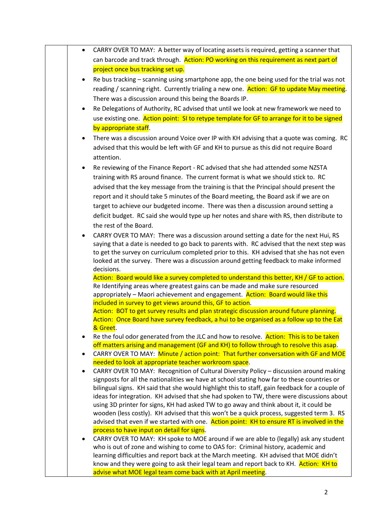| CARRY OVER TO MAY: A better way of locating assets is required, getting a scanner that<br>$\bullet$                                                                                     |  |
|-----------------------------------------------------------------------------------------------------------------------------------------------------------------------------------------|--|
| can barcode and track through. Action: PO working on this requirement as next part of                                                                                                   |  |
| project once bus tracking set up.                                                                                                                                                       |  |
| Re bus tracking – scanning using smartphone app, the one being used for the trial was not<br>$\bullet$                                                                                  |  |
| reading / scanning right. Currently trialing a new one. Action: GF to update May meeting.                                                                                               |  |
| There was a discussion around this being the Boards IP.                                                                                                                                 |  |
| Re Delegations of Authority, RC advised that until we look at new framework we need to<br>$\bullet$                                                                                     |  |
| use existing one. Action point: SI to retype template for GF to arrange for it to be signed                                                                                             |  |
| by appropriate staff.                                                                                                                                                                   |  |
| There was a discussion around Voice over IP with KH advising that a quote was coming. RC<br>$\bullet$                                                                                   |  |
| advised that this would be left with GF and KH to pursue as this did not require Board<br>attention.                                                                                    |  |
| Re reviewing of the Finance Report - RC advised that she had attended some NZSTA<br>$\bullet$                                                                                           |  |
| training with RS around finance. The current format is what we should stick to. RC                                                                                                      |  |
| advised that the key message from the training is that the Principal should present the                                                                                                 |  |
| report and it should take 5 minutes of the Board meeting, the Board ask if we are on                                                                                                    |  |
| target to achieve our budgeted income. There was then a discussion around setting a                                                                                                     |  |
| deficit budget. RC said she would type up her notes and share with RS, then distribute to                                                                                               |  |
| the rest of the Board.                                                                                                                                                                  |  |
| CARRY OVER TO MAY: There was a discussion around setting a date for the next Hui, RS<br>$\bullet$                                                                                       |  |
| saying that a date is needed to go back to parents with. RC advised that the next step was<br>to get the survey on curriculum completed prior to this. KH advised that she has not even |  |
| looked at the survey. There was a discussion around getting feedback to make informed                                                                                                   |  |
| decisions.                                                                                                                                                                              |  |
| Action: Board would like a survey completed to understand this better, KH / GF to action.                                                                                               |  |
| Re Identifying areas where greatest gains can be made and make sure resourced                                                                                                           |  |
| appropriately - Maori achievement and engagement. Action: Board would like this<br>included in survey to get views around this, GF to action.                                           |  |
| Action: BOT to get survey results and plan strategic discussion around future planning.                                                                                                 |  |
| Action: Once Board have survey feedback, a hui to be organised as a follow up to the Eat                                                                                                |  |
| & Greet.                                                                                                                                                                                |  |
| Re the foul odor generated from the JLC and how to resolve. Action: This is to be taken                                                                                                 |  |
| off matters arising and management (GF and KH) to follow through to resolve this asap.<br>CARRY OVER TO MAY: Minute / action point: That further conversation with GF and MOE           |  |
| $\bullet$<br>needed to look at appropriate teacher workroom space.                                                                                                                      |  |
| CARRY OVER TO MAY: Recognition of Cultural Diversity Policy - discussion around making<br>$\bullet$                                                                                     |  |
| signposts for all the nationalities we have at school stating how far to these countries or                                                                                             |  |
| bilingual signs. KH said that she would highlight this to staff, gain feedback for a couple of                                                                                          |  |
| ideas for integration. KH advised that she had spoken to TW, there were discussions about                                                                                               |  |
| using 3D printer for signs, KH had asked TW to go away and think about it, it could be<br>wooden (less costly). KH advised that this won't be a quick process, suggested term 3. RS     |  |
| advised that even if we started with one. Action point: KH to ensure RT is involved in the                                                                                              |  |
| process to have input on detail for signs.                                                                                                                                              |  |
| CARRY OVER TO MAY: KH spoke to MOE around if we are able to (legally) ask any student<br>$\bullet$                                                                                      |  |
| who is out of zone and wishing to come to OAS for: Criminal history, academic and                                                                                                       |  |
| learning difficulties and report back at the March meeting. KH advised that MOE didn't                                                                                                  |  |
| know and they were going to ask their legal team and report back to KH. Action: KH to<br>advise what MOE legal team come back with at April meeting.                                    |  |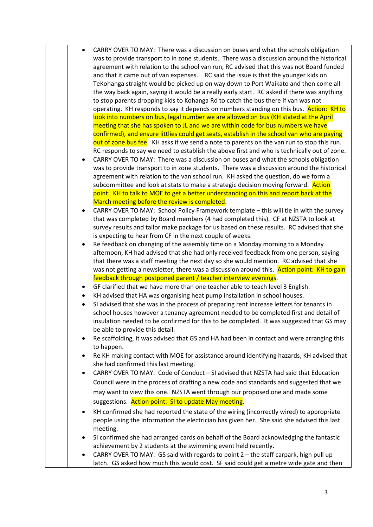|           | CARRY OVER TO MAY: There was a discussion on buses and what the schools obligation<br>was to provide transport to in zone students. There was a discussion around the historical<br>agreement with relation to the school van run, RC advised that this was not Board funded<br>and that it came out of van expenses. RC said the issue is that the younger kids on<br>TeKohanga straight would be picked up on way down to Port Waikato and then come all<br>the way back again, saying it would be a really early start. RC asked if there was anything<br>to stop parents dropping kids to Kohanga Rd to catch the bus there if van was not<br>operating. KH responds to say it depends on numbers standing on this bus. Action: KH to<br>look into numbers on bus, legal number we are allowed on bus (KH stated at the April<br>meeting that she has spoken to JL and we are within code for bus numbers we have<br>confirmed), and ensure littlies could get seats, establish in the school van who are paying |
|-----------|----------------------------------------------------------------------------------------------------------------------------------------------------------------------------------------------------------------------------------------------------------------------------------------------------------------------------------------------------------------------------------------------------------------------------------------------------------------------------------------------------------------------------------------------------------------------------------------------------------------------------------------------------------------------------------------------------------------------------------------------------------------------------------------------------------------------------------------------------------------------------------------------------------------------------------------------------------------------------------------------------------------------|
|           | out of zone bus fee. KH asks if we send a note to parents on the van run to stop this run.                                                                                                                                                                                                                                                                                                                                                                                                                                                                                                                                                                                                                                                                                                                                                                                                                                                                                                                           |
|           | RC responds to say we need to establish the above first and who is technically out of zone.<br>CARRY OVER TO MAY: There was a discussion on buses and what the schools obligation<br>was to provide transport to in zone students. There was a discussion around the historical                                                                                                                                                                                                                                                                                                                                                                                                                                                                                                                                                                                                                                                                                                                                      |
|           | agreement with relation to the van school run. KH asked the question, do we form a                                                                                                                                                                                                                                                                                                                                                                                                                                                                                                                                                                                                                                                                                                                                                                                                                                                                                                                                   |
|           | subcommittee and look at stats to make a strategic decision moving forward. Action                                                                                                                                                                                                                                                                                                                                                                                                                                                                                                                                                                                                                                                                                                                                                                                                                                                                                                                                   |
|           | point: KH to talk to MOE to get a better understanding on this and report back at the                                                                                                                                                                                                                                                                                                                                                                                                                                                                                                                                                                                                                                                                                                                                                                                                                                                                                                                                |
|           | March meeting before the review is completed.                                                                                                                                                                                                                                                                                                                                                                                                                                                                                                                                                                                                                                                                                                                                                                                                                                                                                                                                                                        |
|           | CARRY OVER TO MAY: School Policy Framework template - this will tie in with the survey                                                                                                                                                                                                                                                                                                                                                                                                                                                                                                                                                                                                                                                                                                                                                                                                                                                                                                                               |
|           | that was completed by Board members (4 had completed this). CF at NZSTA to look at                                                                                                                                                                                                                                                                                                                                                                                                                                                                                                                                                                                                                                                                                                                                                                                                                                                                                                                                   |
|           | survey results and tailor make package for us based on these results. RC advised that she                                                                                                                                                                                                                                                                                                                                                                                                                                                                                                                                                                                                                                                                                                                                                                                                                                                                                                                            |
|           | is expecting to hear from CF in the next couple of weeks.                                                                                                                                                                                                                                                                                                                                                                                                                                                                                                                                                                                                                                                                                                                                                                                                                                                                                                                                                            |
|           | Re feedback on changing of the assembly time on a Monday morning to a Monday                                                                                                                                                                                                                                                                                                                                                                                                                                                                                                                                                                                                                                                                                                                                                                                                                                                                                                                                         |
|           | afternoon, KH had advised that she had only received feedback from one person, saying                                                                                                                                                                                                                                                                                                                                                                                                                                                                                                                                                                                                                                                                                                                                                                                                                                                                                                                                |
|           | that there was a staff meeting the next day so she would mention. RC advised that she                                                                                                                                                                                                                                                                                                                                                                                                                                                                                                                                                                                                                                                                                                                                                                                                                                                                                                                                |
|           | was not getting a newsletter, there was a discussion around this. Action point: KH to gain                                                                                                                                                                                                                                                                                                                                                                                                                                                                                                                                                                                                                                                                                                                                                                                                                                                                                                                           |
|           | feedback through postponed parent / teacher interview evenings.                                                                                                                                                                                                                                                                                                                                                                                                                                                                                                                                                                                                                                                                                                                                                                                                                                                                                                                                                      |
| ٠         | GF clarified that we have more than one teacher able to teach level 3 English.                                                                                                                                                                                                                                                                                                                                                                                                                                                                                                                                                                                                                                                                                                                                                                                                                                                                                                                                       |
| $\bullet$ | KH advised that HA was organising heat pump installation in school houses.                                                                                                                                                                                                                                                                                                                                                                                                                                                                                                                                                                                                                                                                                                                                                                                                                                                                                                                                           |
|           | SI advised that she was in the process of preparing rent increase letters for tenants in<br>school houses however a tenancy agreement needed to be completed first and detail of<br>insulation needed to be confirmed for this to be completed. It was suggested that GS may<br>be able to provide this detail.                                                                                                                                                                                                                                                                                                                                                                                                                                                                                                                                                                                                                                                                                                      |
| ٠         | Re scaffolding, it was advised that GS and HA had been in contact and were arranging this<br>to happen.                                                                                                                                                                                                                                                                                                                                                                                                                                                                                                                                                                                                                                                                                                                                                                                                                                                                                                              |
| $\bullet$ | Re KH making contact with MOE for assistance around identifying hazards, KH advised that<br>she had confirmed this last meeting.                                                                                                                                                                                                                                                                                                                                                                                                                                                                                                                                                                                                                                                                                                                                                                                                                                                                                     |
|           | CARRY OVER TO MAY: Code of Conduct – SI advised that NZSTA had said that Education                                                                                                                                                                                                                                                                                                                                                                                                                                                                                                                                                                                                                                                                                                                                                                                                                                                                                                                                   |
|           | Council were in the process of drafting a new code and standards and suggested that we                                                                                                                                                                                                                                                                                                                                                                                                                                                                                                                                                                                                                                                                                                                                                                                                                                                                                                                               |
|           | may want to view this one. NZSTA went through our proposed one and made some                                                                                                                                                                                                                                                                                                                                                                                                                                                                                                                                                                                                                                                                                                                                                                                                                                                                                                                                         |
|           |                                                                                                                                                                                                                                                                                                                                                                                                                                                                                                                                                                                                                                                                                                                                                                                                                                                                                                                                                                                                                      |
|           | suggestions. Action point: SI to update May meeting.                                                                                                                                                                                                                                                                                                                                                                                                                                                                                                                                                                                                                                                                                                                                                                                                                                                                                                                                                                 |
| ٠         | KH confirmed she had reported the state of the wiring (incorrectly wired) to appropriate                                                                                                                                                                                                                                                                                                                                                                                                                                                                                                                                                                                                                                                                                                                                                                                                                                                                                                                             |
|           | people using the information the electrician has given her. She said she advised this last                                                                                                                                                                                                                                                                                                                                                                                                                                                                                                                                                                                                                                                                                                                                                                                                                                                                                                                           |
|           | meeting.                                                                                                                                                                                                                                                                                                                                                                                                                                                                                                                                                                                                                                                                                                                                                                                                                                                                                                                                                                                                             |
| ٠         | SI confirmed she had arranged cards on behalf of the Board acknowledging the fantastic                                                                                                                                                                                                                                                                                                                                                                                                                                                                                                                                                                                                                                                                                                                                                                                                                                                                                                                               |
|           | achievement by 2 students at the swimming event held recently.                                                                                                                                                                                                                                                                                                                                                                                                                                                                                                                                                                                                                                                                                                                                                                                                                                                                                                                                                       |
| ٠         | CARRY OVER TO MAY: GS said with regards to point 2 - the staff carpark, high pull up<br>latch. GS asked how much this would cost. SF said could get a metre wide gate and then                                                                                                                                                                                                                                                                                                                                                                                                                                                                                                                                                                                                                                                                                                                                                                                                                                       |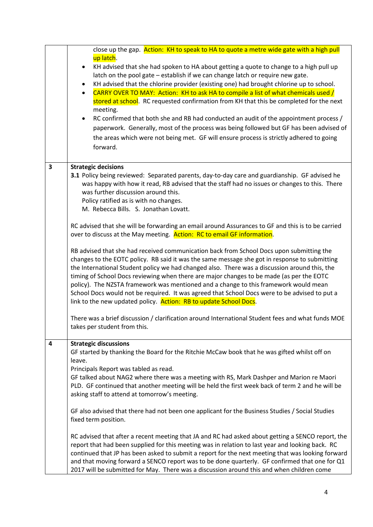|                         | close up the gap. Action: KH to speak to HA to quote a metre wide gate with a high pull<br>up latch.<br>KH advised that she had spoken to HA about getting a quote to change to a high pull up<br>$\bullet$<br>latch on the pool gate - establish if we can change latch or require new gate.<br>KH advised that the chlorine provider (existing one) had brought chlorine up to school.<br>٠<br>CARRY OVER TO MAY: Action: KH to ask HA to compile a list of what chemicals used /<br>$\bullet$<br>stored at school. RC requested confirmation from KH that this be completed for the next<br>meeting.<br>RC confirmed that both she and RB had conducted an audit of the appointment process /<br>$\bullet$<br>paperwork. Generally, most of the process was being followed but GF has been advised of<br>the areas which were not being met. GF will ensure process is strictly adhered to going<br>forward. |
|-------------------------|-----------------------------------------------------------------------------------------------------------------------------------------------------------------------------------------------------------------------------------------------------------------------------------------------------------------------------------------------------------------------------------------------------------------------------------------------------------------------------------------------------------------------------------------------------------------------------------------------------------------------------------------------------------------------------------------------------------------------------------------------------------------------------------------------------------------------------------------------------------------------------------------------------------------|
| $\overline{\mathbf{3}}$ | <b>Strategic decisions</b>                                                                                                                                                                                                                                                                                                                                                                                                                                                                                                                                                                                                                                                                                                                                                                                                                                                                                      |
|                         | <b>3.1</b> Policy being reviewed: Separated parents, day-to-day care and guardianship. GF advised he<br>was happy with how it read, RB advised that the staff had no issues or changes to this. There<br>was further discussion around this.<br>Policy ratified as is with no changes.<br>M. Rebecca Bills. S. Jonathan Lovatt.                                                                                                                                                                                                                                                                                                                                                                                                                                                                                                                                                                                 |
|                         | RC advised that she will be forwarding an email around Assurances to GF and this is to be carried<br>over to discuss at the May meeting. Action: RC to email GF information.                                                                                                                                                                                                                                                                                                                                                                                                                                                                                                                                                                                                                                                                                                                                    |
|                         | RB advised that she had received communication back from School Docs upon submitting the<br>changes to the EOTC policy. RB said it was the same message she got in response to submitting<br>the International Student policy we had changed also. There was a discussion around this, the<br>timing of School Docs reviewing when there are major changes to be made (as per the EOTC<br>policy). The NZSTA framework was mentioned and a change to this framework would mean<br>School Docs would not be required. It was agreed that School Docs were to be advised to put a<br>link to the new updated policy. Action: RB to update School Docs.                                                                                                                                                                                                                                                            |
|                         | There was a brief discussion / clarification around International Student fees and what funds MOE<br>takes per student from this.                                                                                                                                                                                                                                                                                                                                                                                                                                                                                                                                                                                                                                                                                                                                                                               |
| 4                       | <b>Strategic discussions</b><br>GF started by thanking the Board for the Ritchie McCaw book that he was gifted whilst off on<br>leave.<br>Principals Report was tabled as read.<br>GF talked about NAG2 where there was a meeting with RS, Mark Dashper and Marion re Maori<br>PLD. GF continued that another meeting will be held the first week back of term 2 and he will be<br>asking staff to attend at tomorrow's meeting.                                                                                                                                                                                                                                                                                                                                                                                                                                                                                |
|                         | GF also advised that there had not been one applicant for the Business Studies / Social Studies<br>fixed term position.                                                                                                                                                                                                                                                                                                                                                                                                                                                                                                                                                                                                                                                                                                                                                                                         |
|                         | RC advised that after a recent meeting that JA and RC had asked about getting a SENCO report, the<br>report that had been supplied for this meeting was in relation to last year and looking back. RC<br>continued that JP has been asked to submit a report for the next meeting that was looking forward<br>and that moving forward a SENCO report was to be done quarterly. GF confirmed that one for Q1<br>2017 will be submitted for May. There was a discussion around this and when children come                                                                                                                                                                                                                                                                                                                                                                                                        |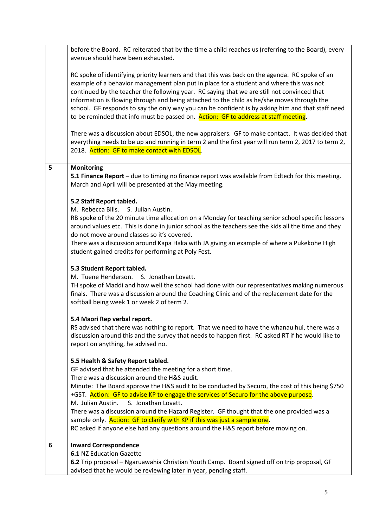|   | before the Board. RC reiterated that by the time a child reaches us (referring to the Board), every<br>avenue should have been exhausted.                                                                                                                                                                                                                                                                                                                                                                                                                                          |
|---|------------------------------------------------------------------------------------------------------------------------------------------------------------------------------------------------------------------------------------------------------------------------------------------------------------------------------------------------------------------------------------------------------------------------------------------------------------------------------------------------------------------------------------------------------------------------------------|
|   | RC spoke of identifying priority learners and that this was back on the agenda. RC spoke of an<br>example of a behavior management plan put in place for a student and where this was not<br>continued by the teacher the following year. RC saying that we are still not convinced that<br>information is flowing through and being attached to the child as he/she moves through the<br>school. GF responds to say the only way you can be confident is by asking him and that staff need<br>to be reminded that info must be passed on. Action: GF to address at staff meeting. |
|   | There was a discussion about EDSOL, the new appraisers. GF to make contact. It was decided that<br>everything needs to be up and running in term 2 and the first year will run term 2, 2017 to term 2,<br>2018. Action: GF to make contact with EDSOL.                                                                                                                                                                                                                                                                                                                             |
| 5 | Monitoring<br>5.1 Finance Report - due to timing no finance report was available from Edtech for this meeting.<br>March and April will be presented at the May meeting.                                                                                                                                                                                                                                                                                                                                                                                                            |
|   |                                                                                                                                                                                                                                                                                                                                                                                                                                                                                                                                                                                    |
|   | 5.2 Staff Report tabled.                                                                                                                                                                                                                                                                                                                                                                                                                                                                                                                                                           |
|   | M. Rebecca Bills. S. Julian Austin.                                                                                                                                                                                                                                                                                                                                                                                                                                                                                                                                                |
|   | RB spoke of the 20 minute time allocation on a Monday for teaching senior school specific lessons                                                                                                                                                                                                                                                                                                                                                                                                                                                                                  |
|   | around values etc. This is done in junior school as the teachers see the kids all the time and they                                                                                                                                                                                                                                                                                                                                                                                                                                                                                |
|   | do not move around classes so it's covered.                                                                                                                                                                                                                                                                                                                                                                                                                                                                                                                                        |
|   | There was a discussion around Kapa Haka with JA giving an example of where a Pukekohe High                                                                                                                                                                                                                                                                                                                                                                                                                                                                                         |
|   | student gained credits for performing at Poly Fest.                                                                                                                                                                                                                                                                                                                                                                                                                                                                                                                                |
|   |                                                                                                                                                                                                                                                                                                                                                                                                                                                                                                                                                                                    |
|   | 5.3 Student Report tabled.                                                                                                                                                                                                                                                                                                                                                                                                                                                                                                                                                         |
|   | M. Tuene Henderson. S. Jonathan Lovatt.                                                                                                                                                                                                                                                                                                                                                                                                                                                                                                                                            |
|   | TH spoke of Maddi and how well the school had done with our representatives making numerous                                                                                                                                                                                                                                                                                                                                                                                                                                                                                        |
|   | finals. There was a discussion around the Coaching Clinic and of the replacement date for the                                                                                                                                                                                                                                                                                                                                                                                                                                                                                      |
|   | softball being week 1 or week 2 of term 2.                                                                                                                                                                                                                                                                                                                                                                                                                                                                                                                                         |
|   |                                                                                                                                                                                                                                                                                                                                                                                                                                                                                                                                                                                    |
|   | 5.4 Maori Rep verbal report.                                                                                                                                                                                                                                                                                                                                                                                                                                                                                                                                                       |
|   | RS advised that there was nothing to report. That we need to have the whanau hui, there was a                                                                                                                                                                                                                                                                                                                                                                                                                                                                                      |
|   | discussion around this and the survey that needs to happen first. RC asked RT if he would like to                                                                                                                                                                                                                                                                                                                                                                                                                                                                                  |
|   | report on anything, he advised no.                                                                                                                                                                                                                                                                                                                                                                                                                                                                                                                                                 |
|   |                                                                                                                                                                                                                                                                                                                                                                                                                                                                                                                                                                                    |
|   | 5.5 Health & Safety Report tabled.                                                                                                                                                                                                                                                                                                                                                                                                                                                                                                                                                 |
|   | GF advised that he attended the meeting for a short time.                                                                                                                                                                                                                                                                                                                                                                                                                                                                                                                          |
|   | There was a discussion around the H&S audit.                                                                                                                                                                                                                                                                                                                                                                                                                                                                                                                                       |
|   |                                                                                                                                                                                                                                                                                                                                                                                                                                                                                                                                                                                    |
|   | Minute: The Board approve the H&S audit to be conducted by Securo, the cost of this being \$750                                                                                                                                                                                                                                                                                                                                                                                                                                                                                    |
|   | +GST. Action: GF to advise KP to engage the services of Securo for the above purpose.                                                                                                                                                                                                                                                                                                                                                                                                                                                                                              |
|   | M. Julian Austin.<br>S. Jonathan Lovatt.                                                                                                                                                                                                                                                                                                                                                                                                                                                                                                                                           |
|   | There was a discussion around the Hazard Register. GF thought that the one provided was a                                                                                                                                                                                                                                                                                                                                                                                                                                                                                          |
|   | sample only. Action: GF to clarify with KP if this was just a sample one.                                                                                                                                                                                                                                                                                                                                                                                                                                                                                                          |
|   | RC asked if anyone else had any questions around the H&S report before moving on.                                                                                                                                                                                                                                                                                                                                                                                                                                                                                                  |
|   |                                                                                                                                                                                                                                                                                                                                                                                                                                                                                                                                                                                    |
| 6 | <b>Inward Correspondence</b>                                                                                                                                                                                                                                                                                                                                                                                                                                                                                                                                                       |
|   | <b>6.1 NZ Education Gazette</b>                                                                                                                                                                                                                                                                                                                                                                                                                                                                                                                                                    |
|   | 6.2 Trip proposal – Ngaruawahia Christian Youth Camp. Board signed off on trip proposal, GF                                                                                                                                                                                                                                                                                                                                                                                                                                                                                        |
|   | advised that he would be reviewing later in year, pending staff.                                                                                                                                                                                                                                                                                                                                                                                                                                                                                                                   |